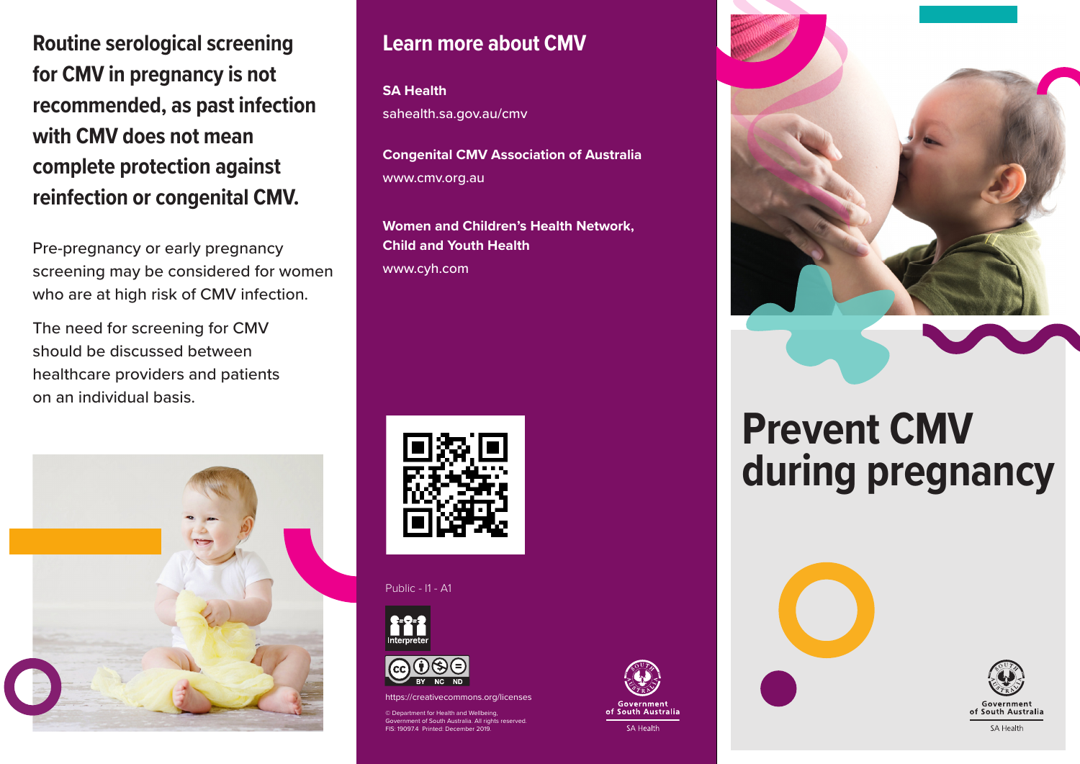**Routine serological screening for CMV in pregnancy is not recommended, as past infection with CMV does not mean complete protection against reinfection or congenital CMV.**

Pre-pregnancy or early pregnancy screening may be considered for women who are at high risk of CMV infection.

The need for screening for CMV should be discussed between healthcare providers and patients on an individual basis.



## **Learn more about CMV**

**SA Health**

sahealth.sa.gov.au/cmv

**Congenital CMV Association of Australia** www.cmv.org.au

**Women and Children's Health Network, Child and Youth Health** www.cyh.com



Public - I1 - A1





https://creativecommons.org/licenses

of for Health and Wellbeing of South Australia. All rig FIS: 19097.4 Printed: December 2019.



## **Prevent CMV during pregnancy**



**South Australia**